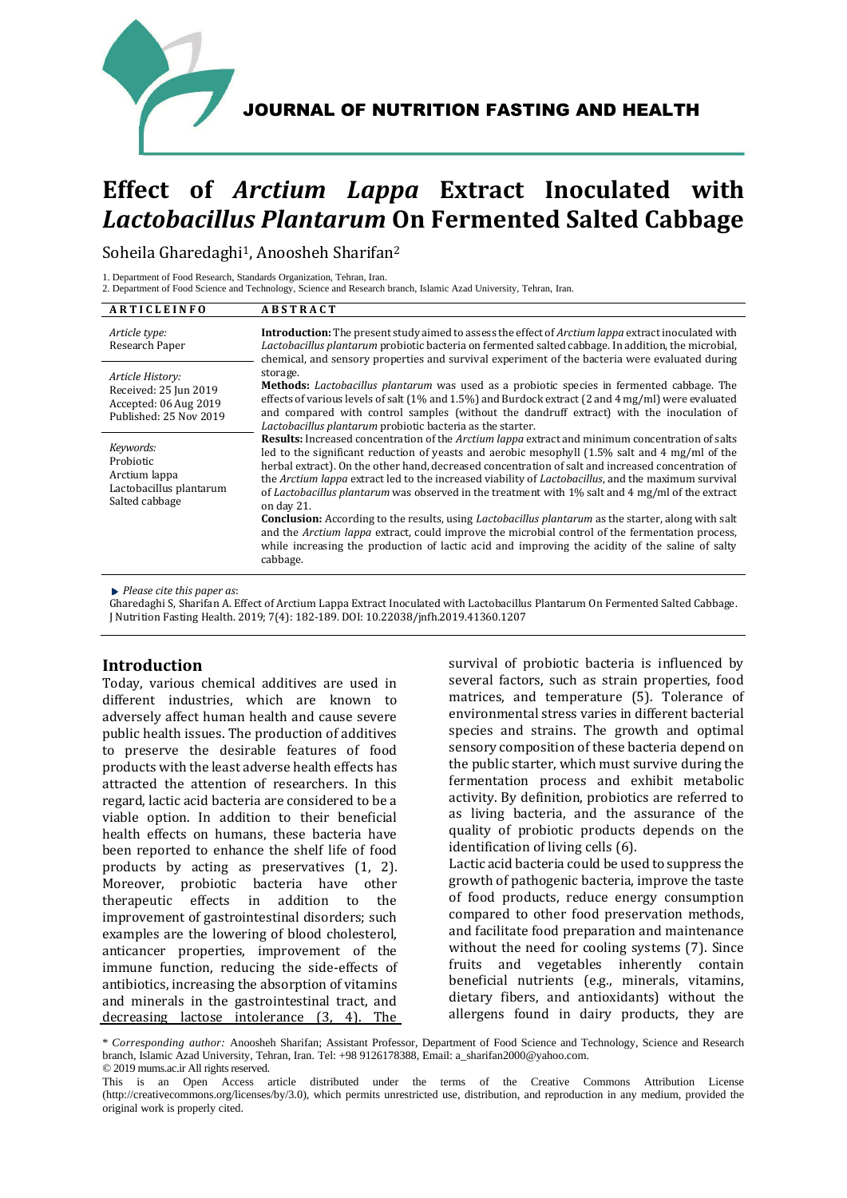

# **Effect of** *Arctium Lappa* **Extract Inoculated with**  *Lactobacillus Plantarum* **On Fermented Salted Cabbage**

Soheila Gharedaghi<sup>1</sup>, Anoosheh Sharifan<sup>2</sup>

1. Department of Food Research, Standards Organization, Tehran, Iran.

2. Department of Food Science and Technology, Science and Research branch, Islamic Azad University, Tehran, Iran.

| ARTICLEINFO                                                                                  | <b>ABSTRACT</b>                                                                                                                                                                                                                                                                                                                                                                                                                                                                                                                                                                                                                                                                                                                                                                                                                                                                 |
|----------------------------------------------------------------------------------------------|---------------------------------------------------------------------------------------------------------------------------------------------------------------------------------------------------------------------------------------------------------------------------------------------------------------------------------------------------------------------------------------------------------------------------------------------------------------------------------------------------------------------------------------------------------------------------------------------------------------------------------------------------------------------------------------------------------------------------------------------------------------------------------------------------------------------------------------------------------------------------------|
| Article type:<br>Research Paper                                                              | <b>Introduction:</b> The present study aimed to assess the effect of <i>Arctium lappa</i> extract inoculated with<br>Lactobacillus plantarum probiotic bacteria on fermented salted cabbage. In addition, the microbial,<br>chemical, and sensory properties and survival experiment of the bacteria were evaluated during                                                                                                                                                                                                                                                                                                                                                                                                                                                                                                                                                      |
| Article History:<br>Received: 25 Jun 2019<br>Accepted: 06 Aug 2019<br>Published: 25 Nov 2019 | storage.<br>Methods: Lactobacillus plantarum was used as a probiotic species in fermented cabbage. The<br>effects of various levels of salt $(1\%$ and $1.5\%)$ and Burdock extract $(2 \text{ and } 4 \text{ mg/ml})$ were evaluated<br>and compared with control samples (without the dandruff extract) with the inoculation of<br>Lactobacillus plantarum probiotic bacteria as the starter.                                                                                                                                                                                                                                                                                                                                                                                                                                                                                 |
| Keywords:<br>Probiotic<br>Arctium lappa<br>Lactobacillus plantarum<br>Salted cabbage         | Results: Increased concentration of the Arctium lappa extract and minimum concentration of salts<br>led to the significant reduction of yeasts and aerobic mesophyll (1.5% salt and 4 mg/ml of the<br>herbal extract). On the other hand, decreased concentration of salt and increased concentration of<br>the Arctium lappa extract led to the increased viability of Lactobacillus, and the maximum survival<br>of <i>Lactobacillus plantarum</i> was observed in the treatment with 1% salt and 4 mg/ml of the extract<br>on day 21.<br><b>Conclusion:</b> According to the results, using <i>Lactobacillus plantarum</i> as the starter, along with salt<br>and the Arctium lappa extract, could improve the microbial control of the fermentation process,<br>while increasing the production of lactic acid and improving the acidity of the saline of salty<br>cabbage. |

*Please cite this paper as*:

Gharedaghi S, Sharifan A. Effect of Arctium Lappa Extract Inoculated with Lactobacillus Plantarum On Fermented Salted Cabbage. J Nutrition Fasting Health. 2019; 7(4): 182-189. DOI: 10.22038/jnfh.2019.41360.1207

# **Introduction**

Today, various chemical additives are used in different industries, which are known to adversely affect human health and cause severe public health issues. The production of additives to preserve the desirable features of food products with the least adverse health effects has attracted the attention of researchers. In this regard, lactic acid bacteria are considered to be a viable option. In addition to their beneficial health effects on humans, these bacteria have been reported to enhance the shelf life of food products by acting as preservatives (1, 2). Moreover, probiotic bacteria have other therapeutic effects in addition to the improvement of gastrointestinal disorders; such examples are the lowering of blood cholesterol, anticancer properties, improvement of the immune function, reducing the side-effects of antibiotics, increasing the absorption of vitamins and minerals in the gastrointestinal tract, and decreasing lactose intolerance (3, 4). The survival of probiotic bacteria is influenced by several factors, such as strain properties, food matrices, and temperature (5). Tolerance of environmental stress varies in different bacterial species and strains. The growth and optimal sensory composition of these bacteria depend on the public starter, which must survive during the fermentation process and exhibit metabolic activity. By definition, probiotics are referred to as living bacteria, and the assurance of the quality of probiotic products depends on the identification of living cells (6). Lactic acid bacteria could be used to suppress the growth of pathogenic bacteria, improve the taste of food products, reduce energy consumption

compared to other food preservation methods, and facilitate food preparation and maintenance without the need for cooling systems (7). Since fruits and vegetables inherently contain beneficial nutrients (e.g., minerals, vitamins, dietary fibers, and antioxidants) without the allergens found in dairy products, they are

<sup>\*</sup> *Corresponding author:* Anoosheh Sharifan; Assistant Professor, Department of Food Science and Technology, Science and Research branch, Islamic Azad University, Tehran, Iran. Tel: +98 9126178388, Email: a\_sharifan2000@yahoo.com. © 2019 mums.ac.ir All rights reserved.

This is an Open Access article distributed under the terms of the Creative Commons Attribution License (http://creativecommons.org/licenses/by/3.0), which permits unrestricted use, distribution, and reproduction in any medium, provided the original work is properly cited.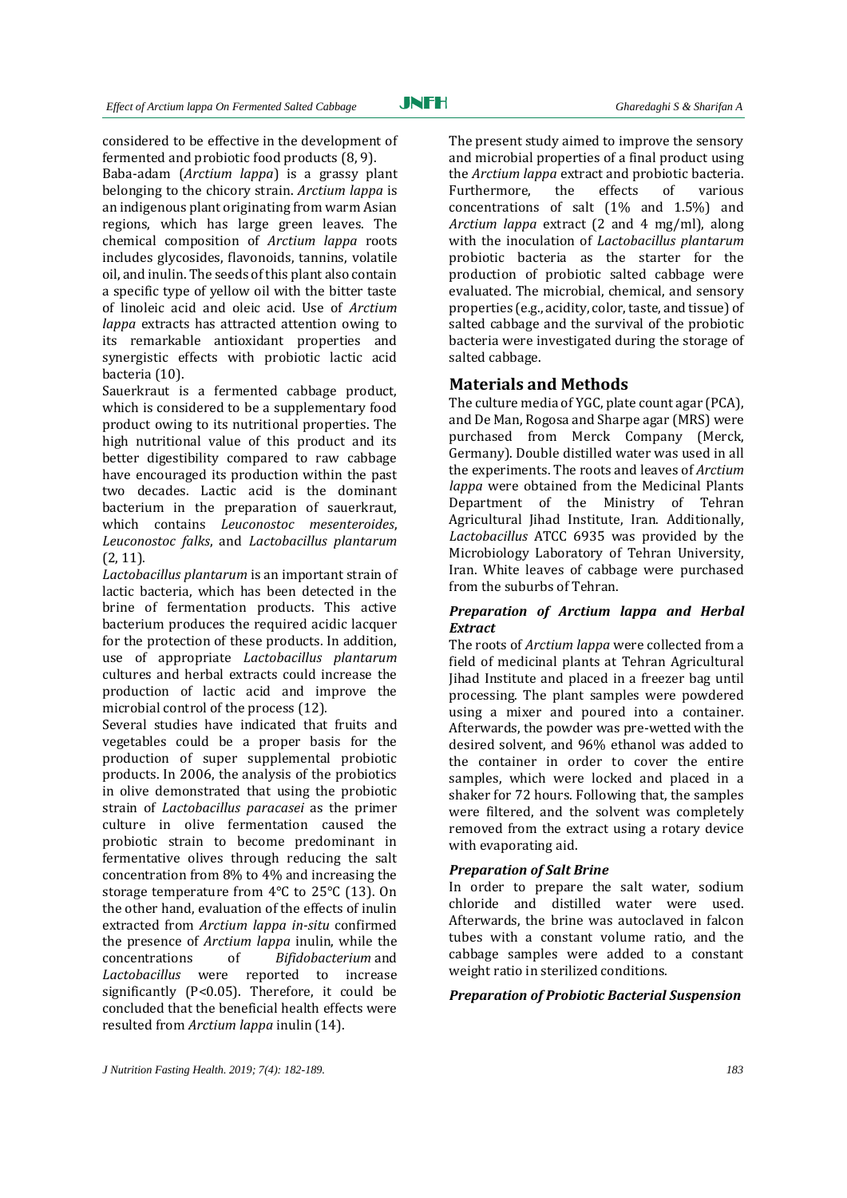JNFH

considered to be effective in the development of fermented and probiotic food products (8, 9).

Baba-adam (*Arctium lappa*) is a grassy plant belonging to the chicory strain. *Arctium lappa* is an indigenous plant originating from warm Asian regions, which has large green leaves. The chemical composition of *Arctium lappa* roots includes glycosides, flavonoids, tannins, volatile oil, and inulin. The seeds of this plant also contain a specific type of yellow oil with the bitter taste of linoleic acid and oleic acid. Use of *Arctium lappa* extracts has attracted attention owing to its remarkable antioxidant properties and synergistic effects with probiotic lactic acid bacteria (10).

Sauerkraut is a fermented cabbage product, which is considered to be a supplementary food product owing to its nutritional properties. The high nutritional value of this product and its better digestibility compared to raw cabbage have encouraged its production within the past two decades. Lactic acid is the dominant bacterium in the preparation of sauerkraut, which contains *Leuconostoc mesenteroides*, *Leuconostoc falks*, and *Lactobacillus plantarum* (2, 11).

*Lactobacillus plantarum* is an important strain of lactic bacteria, which has been detected in the brine of fermentation products. This active bacterium produces the required acidic lacquer for the protection of these products. In addition, use of appropriate *Lactobacillus plantarum* cultures and herbal extracts could increase the production of lactic acid and improve the microbial control of the process (12).

Several studies have indicated that fruits and vegetables could be a proper basis for the production of super supplemental probiotic products. In 2006, the analysis of the probiotics in olive demonstrated that using the probiotic strain of *Lactobacillus paracasei* as the primer culture in olive fermentation caused the probiotic strain to become predominant in fermentative olives through reducing the salt concentration from 8% to 4% and increasing the storage temperature from 4°C to 25°C (13). On the other hand, evaluation of the effects of inulin extracted from *Arctium lappa in-situ* confirmed the presence of *Arctium lappa* inulin, while the concentrations of *Bifidobacterium* and *Lactobacillus* were reported to increase significantly (P<0.05). Therefore, it could be concluded that the beneficial health effects were resulted from *Arctium lappa* inulin (14).

The present study aimed to improve the sensory and microbial properties of a final product using the *Arctium lappa* extract and probiotic bacteria. Furthermore, the effects of various concentrations of salt (1% and 1.5%) and *Arctium lappa* extract (2 and 4 mg/ml), along with the inoculation of *Lactobacillus plantarum* probiotic bacteria as the starter for the production of probiotic salted cabbage were evaluated. The microbial, chemical, and sensory properties (e.g., acidity, color, taste, and tissue) of salted cabbage and the survival of the probiotic bacteria were investigated during the storage of salted cabbage.

# **Materials and Methods**

The culture media of YGC, plate count agar (PCA), and De Man, Rogosa and Sharpe agar (MRS) were purchased from Merck Company (Merck, Germany). Double distilled water was used in all the experiments. The roots and leaves of *Arctium lappa* were obtained from the Medicinal Plants Department of the Ministry of Tehran Agricultural Jihad Institute, Iran. Additionally, *Lactobacillus* ATCC 6935 was provided by the Microbiology Laboratory of Tehran University, Iran. White leaves of cabbage were purchased from the suburbs of Tehran.

# *Preparation of Arctium lappa and Herbal Extract*

The roots of *Arctium lappa* were collected from a field of medicinal plants at Tehran Agricultural Jihad Institute and placed in a freezer bag until processing. The plant samples were powdered using a mixer and poured into a container. Afterwards, the powder was pre-wetted with the desired solvent, and 96% ethanol was added to the container in order to cover the entire samples, which were locked and placed in a shaker for 72 hours. Following that, the samples were filtered, and the solvent was completely removed from the extract using a rotary device with evaporating aid.

#### *Preparation of Salt Brine*

In order to prepare the salt water, sodium chloride and distilled water were used. Afterwards, the brine was autoclaved in falcon tubes with a constant volume ratio, and the cabbage samples were added to a constant weight ratio in sterilized conditions.

### *Preparation of Probiotic Bacterial Suspension*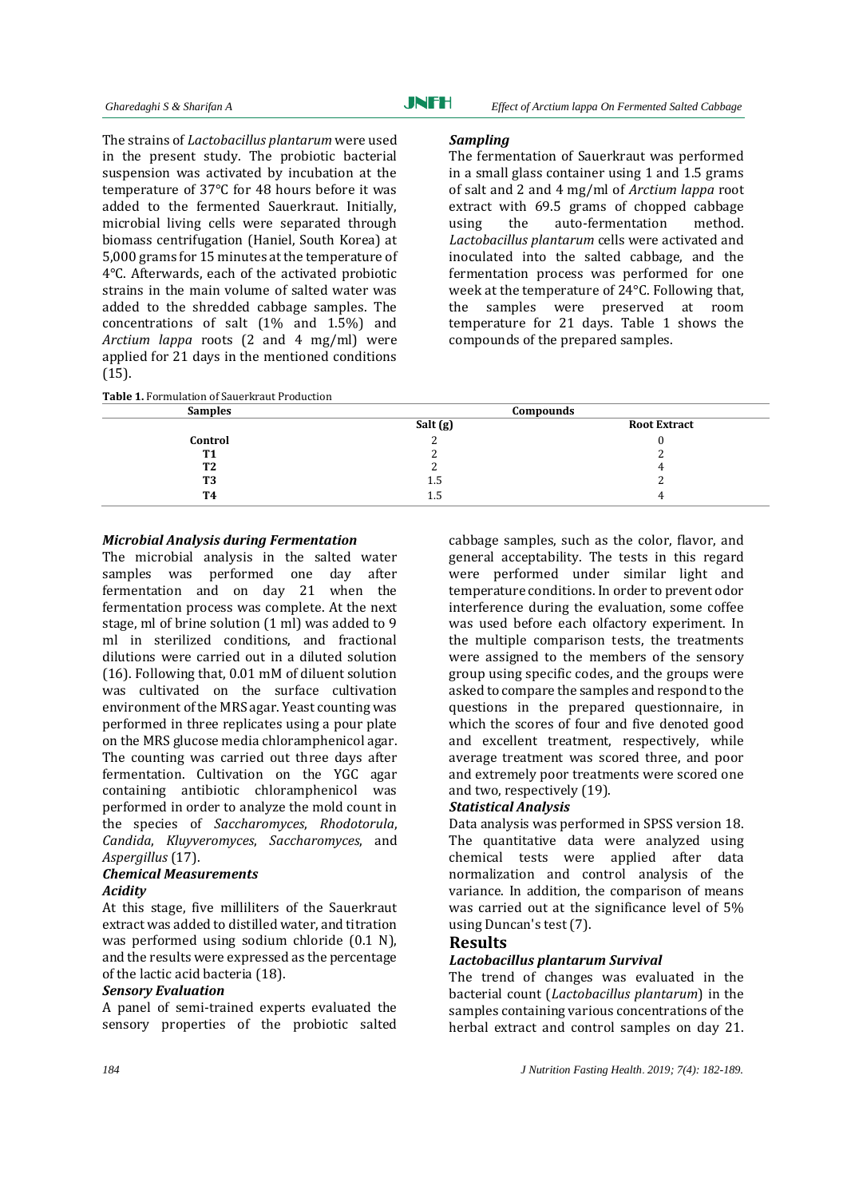The strains of *Lactobacillus plantarum* were used in the present study. The probiotic bacterial suspension was activated by incubation at the temperature of 37°C for 48 hours before it was added to the fermented Sauerkraut. Initially, microbial living cells were separated through biomass centrifugation (Haniel, South Korea) at 5,000 grams for 15 minutes at the temperature of 4°C. Afterwards, each of the activated probiotic strains in the main volume of salted water was added to the shredded cabbage samples. The concentrations of salt (1% and 1.5%) and *Arctium lappa* roots (2 and 4 mg/ml) were applied for 21 days in the mentioned conditions (15).

|  | <b>Table 1. Formulation of Sauerkraut Production</b> |
|--|------------------------------------------------------|
|--|------------------------------------------------------|

#### *Sampling*

The fermentation of Sauerkraut was performed in a small glass container using 1 and 1.5 grams of salt and 2 and 4 mg/ml of *Arctium lappa* root extract with 69.5 grams of chopped cabbage using the auto-fermentation method. *Lactobacillus plantarum* cells were activated and inoculated into the salted cabbage, and the fermentation process was performed for one week at the temperature of 24°C. Following that, the samples were preserved at room temperature for 21 days. Table 1 shows the compounds of the prepared samples.

| <b>Samples</b> |          | Compounds           |  |
|----------------|----------|---------------------|--|
|                | Salt (g) | <b>Root Extract</b> |  |
| Control        |          |                     |  |
| <b>T1</b>      |          |                     |  |
| <b>T2</b>      |          | 4                   |  |
| T <sub>3</sub> | 1.5      |                     |  |
| <b>T4</b>      | 1.5      | д                   |  |

### *Microbial Analysis during Fermentation*

The microbial analysis in the salted water samples was performed one day after fermentation and on day 21 when the fermentation process was complete. At the next stage, ml of brine solution (1 ml) was added to 9 ml in sterilized conditions, and fractional dilutions were carried out in a diluted solution (16). Following that, 0.01 mM of diluent solution was cultivated on the surface cultivation environment of the MRS agar. Yeast counting was performed in three replicates using a pour plate on the MRS glucose media chloramphenicol agar. The counting was carried out three days after fermentation. Cultivation on the YGC agar containing antibiotic chloramphenicol was performed in order to analyze the mold count in the species of *Saccharomyces*, *Rhodotorula*, *Candida*, *Kluyveromyces*, *Saccharomyces*, and *Aspergillus* (17).

# *Chemical Measurements Acidity*

At this stage, five milliliters of the Sauerkraut extract was added to distilled water, and titration was performed using sodium chloride (0.1 N), and the results were expressed as the percentage of the lactic acid bacteria (18).

### *Sensory Evaluation*

A panel of semi-trained experts evaluated the sensory properties of the probiotic salted cabbage samples, such as the color, flavor, and general acceptability. The tests in this regard were performed under similar light and temperature conditions. In order to prevent odor interference during the evaluation, some coffee was used before each olfactory experiment. In the multiple comparison tests, the treatments were assigned to the members of the sensory group using specific codes, and the groups were asked to compare the samples and respond to the questions in the prepared questionnaire, in which the scores of four and five denoted good and excellent treatment, respectively, while average treatment was scored three, and poor and extremely poor treatments were scored one and two, respectively (19).

# *Statistical Analysis*

Data analysis was performed in SPSS version 18. The quantitative data were analyzed using chemical tests were applied after data normalization and control analysis of the variance. In addition, the comparison of means was carried out at the significance level of 5% using Duncan's test (7).

# **Results**

# *Lactobacillus plantarum Survival*

The trend of changes was evaluated in the bacterial count (*Lactobacillus plantarum*) in the samples containing various concentrations of the herbal extract and control samples on day 21.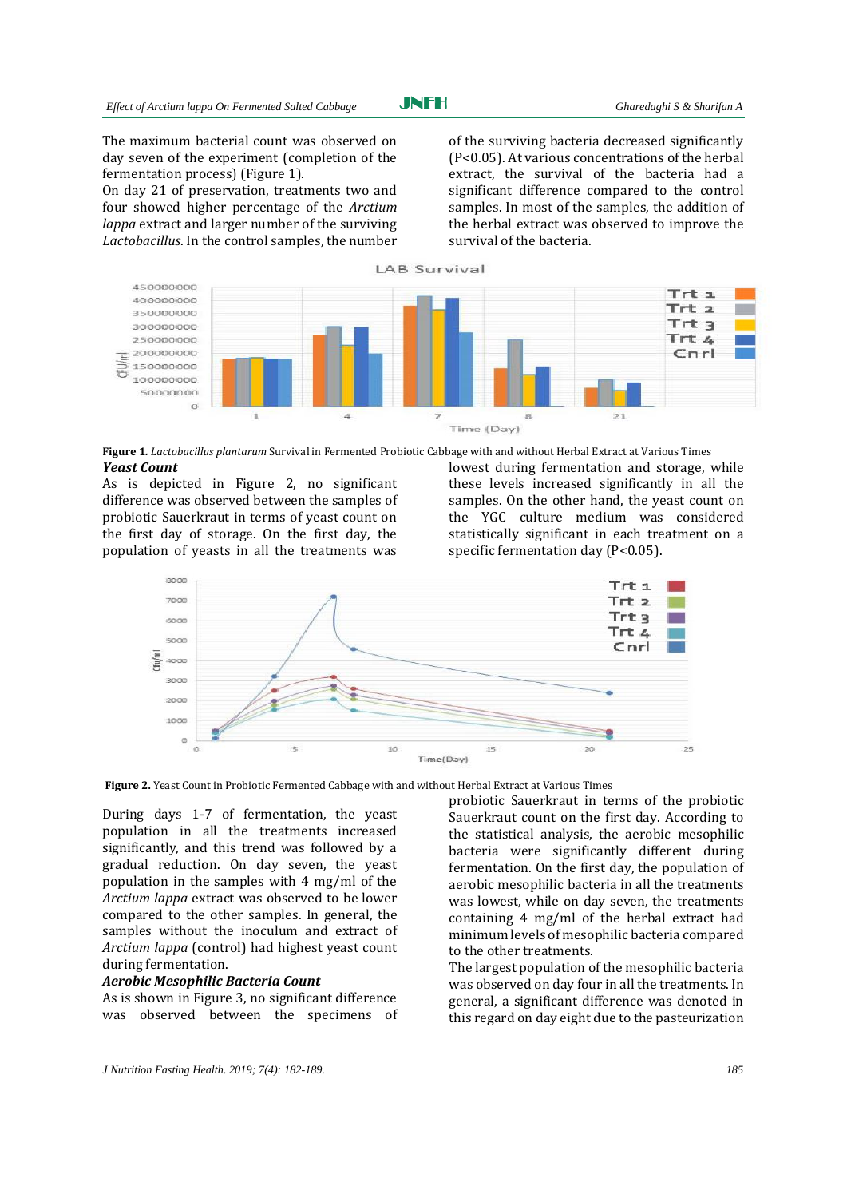JNFH

The maximum bacterial count was observed on day seven of the experiment (completion of the fermentation process) (Figure 1).

On day 21 of preservation, treatments two and four showed higher percentage of the *Arctium lappa* extract and larger number of the surviving *Lactobacillus*. In the control samples, the number of the surviving bacteria decreased significantly (P<0.05). At various concentrations of the herbal extract, the survival of the bacteria had a significant difference compared to the control samples. In most of the samples, the addition of the herbal extract was observed to improve the survival of the bacteria.



**Figure 1***. Lactobacillus plantarum* Survival in Fermented Probiotic Cabbage with and without Herbal Extract at Various Times *Yeast Count* 

As is depicted in Figure 2, no significant difference was observed between the samples of probiotic Sauerkraut in terms of yeast count on the first day of storage. On the first day, the population of yeasts in all the treatments was

lowest during fermentation and storage, while these levels increased significantly in all the samples. On the other hand, the yeast count on the YGC culture medium was considered statistically significant in each treatment on a specific fermentation day (P<0.05).



**Figure 2.** Yeast Count in Probiotic Fermented Cabbage with and without Herbal Extract at Various Times

During days 1-7 of fermentation, the yeast population in all the treatments increased significantly, and this trend was followed by a gradual reduction. On day seven, the yeast population in the samples with 4 mg/ml of the *Arctium lappa* extract was observed to be lower compared to the other samples. In general, the samples without the inoculum and extract of *Arctium lappa* (control) had highest yeast count during fermentation.

#### *Aerobic Mesophilic Bacteria Count*

As is shown in Figure 3, no significant difference was observed between the specimens of probiotic Sauerkraut in terms of the probiotic Sauerkraut count on the first day. According to the statistical analysis, the aerobic mesophilic bacteria were significantly different during fermentation. On the first day, the population of aerobic mesophilic bacteria in all the treatments was lowest, while on day seven, the treatments containing 4 mg/ml of the herbal extract had minimum levels of mesophilic bacteria compared to the other treatments.

The largest population of the mesophilic bacteria was observed on day four in all the treatments. In general, a significant difference was denoted in this regard on day eight due to the pasteurization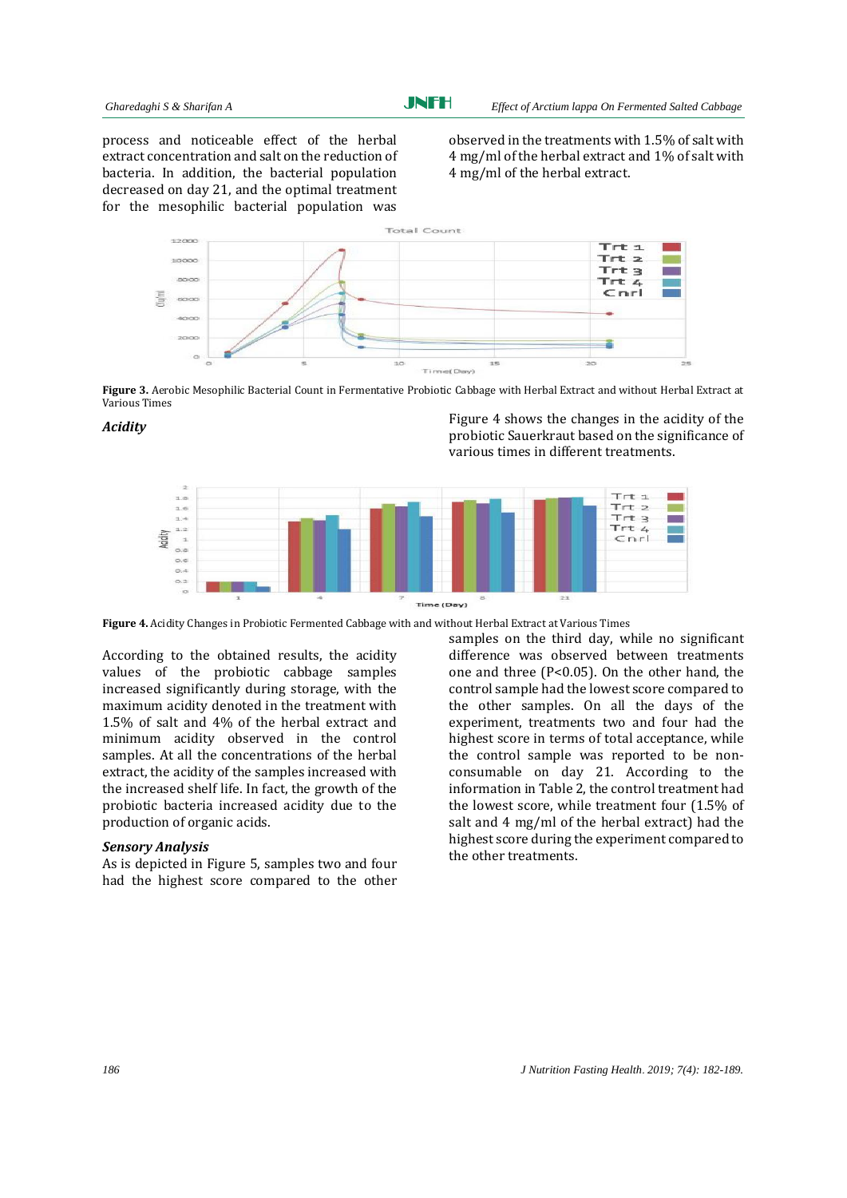process and noticeable effect of the herbal extract concentration and salt on the reduction of bacteria. In addition, the bacterial population decreased on day 21, and the optimal treatment for the mesophilic bacterial population was

observed in the treatments with 1.5% of salt with 4 mg/ml of the herbal extract and 1% of salt with 4 mg/ml of the herbal extract.



**Figure 3.** Aerobic Mesophilic Bacterial Count in Fermentative Probiotic Cabbage with Herbal Extract and without Herbal Extract at Various Times

**Acidity Acidity Acidity Acidity Acidity Acidity Acidity Acidity Acidity Acidity Acidity Acidity Acidity Acidity Acidity Acidity Acidity Acidity Acidity Acidity Acidity Acidity A** probiotic Sauerkraut based on the significance of various times in different treatments.



**Figure 4.** Acidity Changes in Probiotic Fermented Cabbage with and without Herbal Extract at Various Times

According to the obtained results, the acidity values of the probiotic cabbage samples increased significantly during storage, with the maximum acidity denoted in the treatment with 1.5% of salt and 4% of the herbal extract and minimum acidity observed in the control samples. At all the concentrations of the herbal extract, the acidity of the samples increased with the increased shelf life. In fact, the growth of the probiotic bacteria increased acidity due to the production of organic acids.

#### *Sensory Analysis*

As is depicted in Figure 5, samples two and four had the highest score compared to the other samples on the third day, while no significant difference was observed between treatments one and three (P<0.05). On the other hand, the control sample had the lowest score compared to the other samples. On all the days of the experiment, treatments two and four had the highest score in terms of total acceptance, while the control sample was reported to be nonconsumable on day 21. According to the information in Table 2, the control treatment had the lowest score, while treatment four (1.5% of salt and 4 mg/ml of the herbal extract) had the highest score during the experiment compared to the other treatments.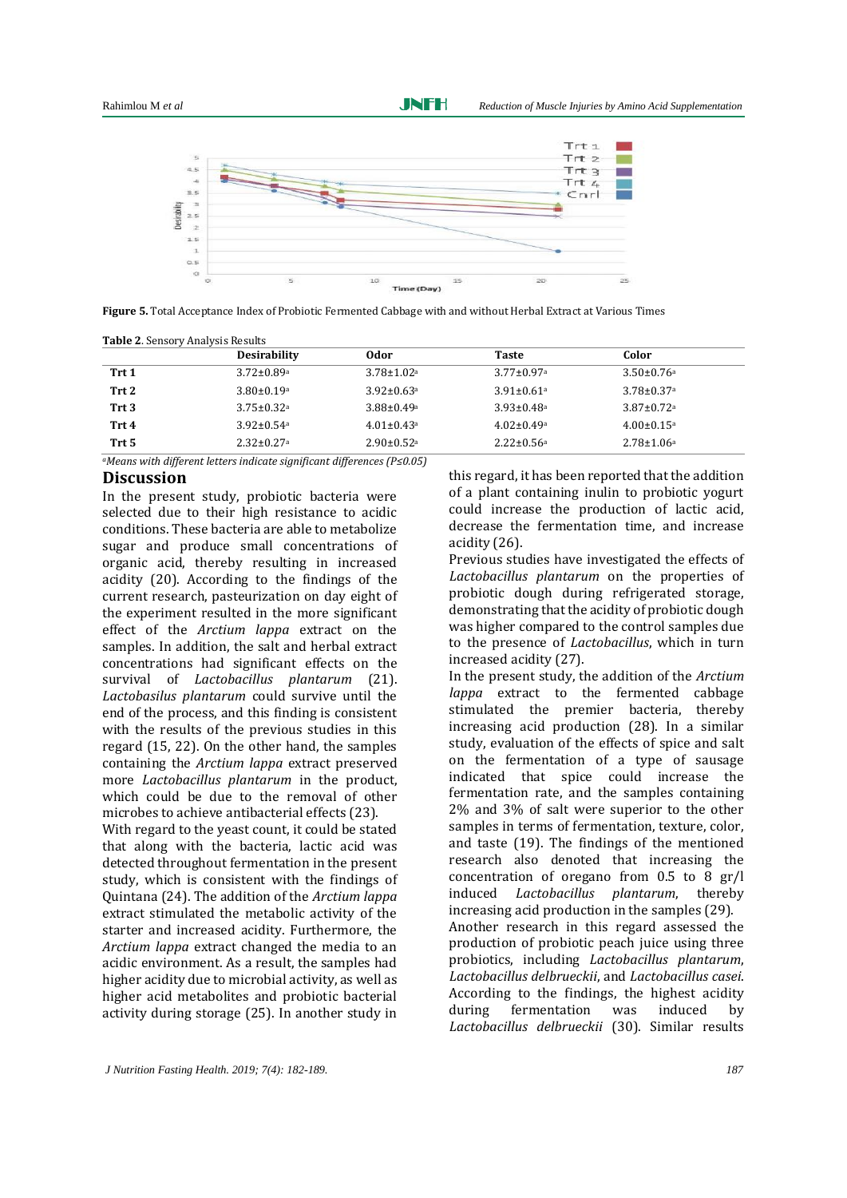Rahimlou M *et al Reduction of Muscle Injuries by Amino Acid Supplementation* 



JNFH

**Figure 5.** Total Acceptance Index of Probiotic Fermented Cabbage with and without Herbal Extract at Various Times

|                  | <b>Desirability</b>          | 0dor                         | <b>Taste</b>                 | Color                        |
|------------------|------------------------------|------------------------------|------------------------------|------------------------------|
| Trt 1            | $3.72 \pm 0.89$ <sup>a</sup> | $3.78 \pm 1.02$ <sup>a</sup> | $3.77 \pm 0.97$ <sup>a</sup> | $3.50 \pm 0.76$ <sup>a</sup> |
| Trt 2            | $3.80 \pm 0.19$ <sup>a</sup> | $3.92 \pm 0.63$ <sup>a</sup> | $3.91 \pm 0.61$ <sup>a</sup> | $3.78 \pm 0.37$ <sup>a</sup> |
| Trt <sub>3</sub> | $3.75 \pm 0.32$ <sup>a</sup> | $3.88 \pm 0.49$ <sup>a</sup> | $3.93 \pm 0.48$ <sup>a</sup> | $3.87 \pm 0.72$ <sup>a</sup> |
| Trt 4            | $3.92 \pm 0.54$ <sup>a</sup> | $4.01 \pm 0.43$ <sup>a</sup> | $4.02 \pm 0.49$ <sup>a</sup> | $4.00 \pm 0.15$ <sup>a</sup> |
| Trt 5            | $2.32 \pm 0.27$ <sup>a</sup> | $2.90 \pm 0.52$ <sup>a</sup> | $2.22 \pm 0.56$ <sup>a</sup> | $2.78 \pm 1.06^a$            |

*<sup>a</sup>Means with different letters indicate significant differences (P≤0.05)*

# **Discussion**

In the present study, probiotic bacteria were selected due to their high resistance to acidic conditions. These bacteria are able to metabolize sugar and produce small concentrations of organic acid, thereby resulting in increased acidity (20). According to the findings of the current research, pasteurization on day eight of the experiment resulted in the more significant effect of the *Arctium lappa* extract on the samples. In addition, the salt and herbal extract concentrations had significant effects on the survival of *Lactobacillus plantarum* (21). *Lactobasilus plantarum* could survive until the end of the process, and this finding is consistent with the results of the previous studies in this regard (15, 22). On the other hand, the samples containing the *Arctium lappa* extract preserved more *Lactobacillus plantarum* in the product, which could be due to the removal of other microbes to achieve antibacterial effects (23).

With regard to the yeast count, it could be stated that along with the bacteria, lactic acid was detected throughout fermentation in the present study, which is consistent with the findings of Quintana (24). The addition of the *Arctium lappa* extract stimulated the metabolic activity of the starter and increased acidity. Furthermore, the *Arctium lappa* extract changed the media to an acidic environment. As a result, the samples had higher acidity due to microbial activity, as well as higher acid metabolites and probiotic bacterial activity during storage (25). In another study in

this regard, it has been reported that the addition of a plant containing inulin to probiotic yogurt could increase the production of lactic acid, decrease the fermentation time, and increase acidity (26).

Previous studies have investigated the effects of *Lactobacillus plantarum* on the properties of probiotic dough during refrigerated storage, demonstrating that the acidity of probiotic dough was higher compared to the control samples due to the presence of *Lactobacillus*, which in turn increased acidity (27).

In the present study, the addition of the *Arctium lappa* extract to the fermented cabbage stimulated the premier bacteria, thereby increasing acid production (28). In a similar study, evaluation of the effects of spice and salt on the fermentation of a type of sausage indicated that spice could increase the fermentation rate, and the samples containing 2% and 3% of salt were superior to the other samples in terms of fermentation, texture, color, and taste (19). The findings of the mentioned research also denoted that increasing the concentration of oregano from 0.5 to 8 gr/l induced *Lactobacillus plantarum*, thereby increasing acid production in the samples (29). Another research in this regard assessed the production of probiotic peach juice using three probiotics, including *Lactobacillus plantarum*, *Lactobacillus delbrueckii*, and *Lactobacillus casei*. According to the findings, the highest acidity during fermentation was induced by *Lactobacillus delbrueckii* (30). Similar results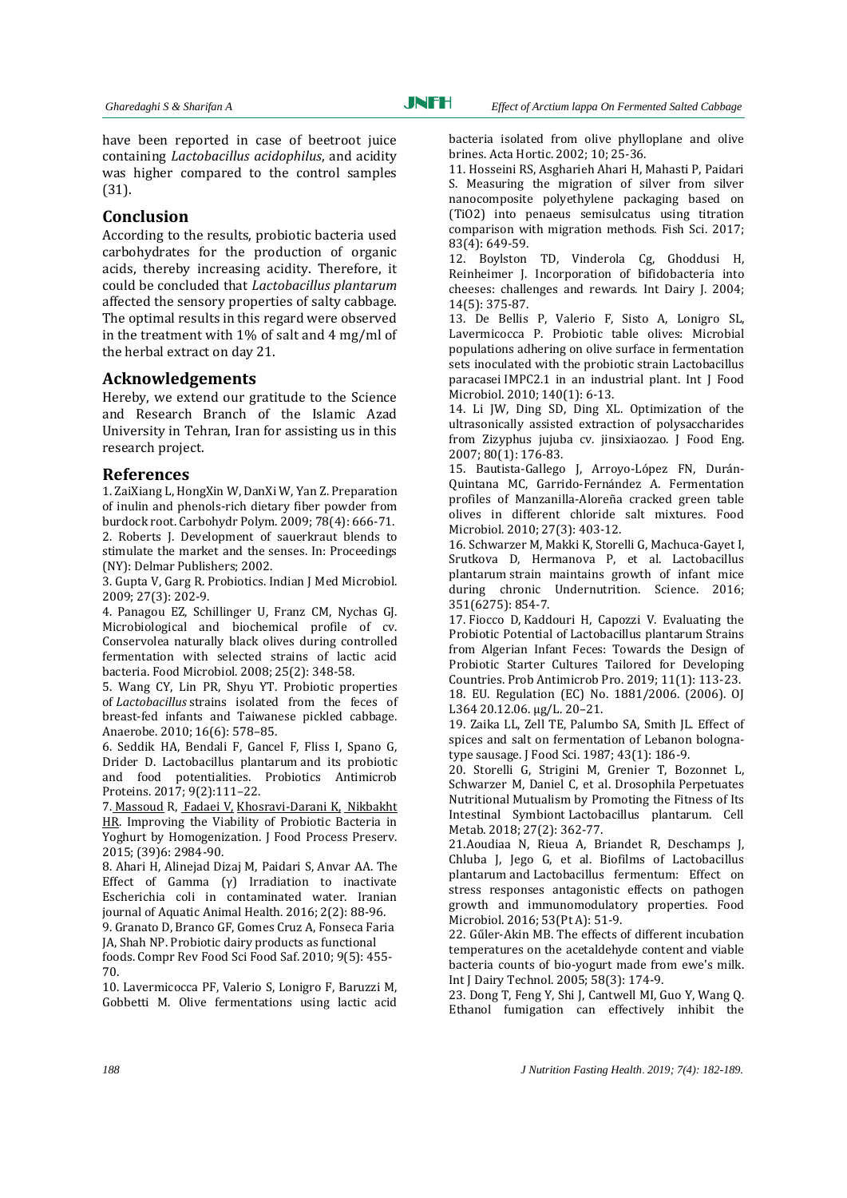have been reported in case of beetroot juice containing *Lactobacillus acidophilus*, and acidity was higher compared to the control samples (31).

# **Conclusion**

According to the results, probiotic bacteria used carbohydrates for the production of organic acids, thereby increasing acidity. Therefore, it could be concluded that *Lactobacillus plantarum* affected the sensory properties of salty cabbage. The optimal results in this regard were observed in the treatment with 1% of salt and 4 mg/ml of the herbal extract on day 21.

# **Acknowledgements**

Hereby, we extend our gratitude to the Science and Research Branch of the Islamic Azad University in Tehran, Iran for assisting us in this research project.

# **References**

1. ZaiXiang L, HongXin W, DanXi W, Yan Z. Preparation of inulin and phenols-rich dietary fiber powder from burdock root. Carbohydr Polym. 2009; 78(4): 666-71. 2. Roberts J. Development of sauerkraut blends to stimulate the market and the senses. In: Proceedings (NY): Delmar Publishers; 2002.

3. Gupta V, Garg R. Probiotics. Indian J Med Microbiol. 2009; 27(3): 202-9.

4. Panagou EZ, Schillinger U, Franz CM, Nychas GJ. Microbiological and biochemical profile of cv. Conservolea naturally black olives during controlled fermentation with selected strains of lactic acid bacteria. Food Microbiol. 2008; 25(2): 348-58.

5. Wang CY, Lin PR, Shyu YT. Probiotic properties of *Lactobacillus* strains isolated from the feces of breast-fed infants and Taiwanese pickled cabbage. Anaerobe. 2010; 16(6): 578–85.

6. Seddik HA, Bendali F, Gancel F, Fliss I, Spano G, Drider D. Lactobacillus plantarum and its probiotic and food potentialities. Probiotics Antimicrob Proteins. 2017; 9(2):111–22.

7. [Massoud](https://onlinelibrary.wiley.com/action/doSearch?ContribAuthorStored=Massoud%2C+Ramona) R[, Fadaei](https://onlinelibrary.wiley.com/action/doSearch?ContribAuthorStored=Fadaei%2C+Vajiheh) V, [Khosravi](https://onlinelibrary.wiley.com/action/doSearch?ContribAuthorStored=Khosravi-Darani%2C+Kianoush)‐Darani K, [Nikbakht](https://onlinelibrary.wiley.com/action/doSearch?ContribAuthorStored=Nikbakht%2C+Hamid+Reza) HR. Improving the Viability of Probiotic Bacteria in Yoghurt by Homogenization. J Food Process Preserv. 2015; (39)6: 2984-90.

8. Ahari H, Alinejad Dizaj M, Paidari S, Anvar AA. The Effect of Gamma (γ) Irradiation to inactivate Escherichia coli in contaminated water. Iranian journal of Aquatic Animal Health. 2016; 2(2): 88-96.

9. Granato D, Branco GF, Gomes Cruz A, Fonseca Faria JA, Shah NP. Probiotic dairy products as functional foods. Compr Rev Food Sci Food Saf. 2010; 9(5): 455-

70.

10. Lavermicocca PF, Valerio S, Lonigro F, Baruzzi M, Gobbetti M. Olive fermentations using lactic acid bacteria isolated from olive phylloplane and olive brines. Acta Hortic. 2002; 10; 25-36.

11. Hosseini RS, Asgharieh Ahari H, Mahasti P, Paidari S. Measuring the migration of silver from silver nanocomposite polyethylene packaging based on (TiO2) into penaeus semisulcatus using titration comparison with migration methods. Fish Sci. 2017; 83(4): 649-59.

12. Boylston TD, Vinderola Cg, Ghoddusi H, Reinheimer J. Incorporation of bifidobacteria into cheeses: challenges and rewards. Int Dairy J. 2004; 14(5): 375-87.

13. De [Bellis](https://www.sciencedirect.com/science/article/pii/S0168160510001054#!) P, [Valerio](https://www.sciencedirect.com/science/article/pii/S0168160510001054#!) F, [Sisto A, Lonigro](https://www.sciencedirect.com/science/article/pii/S0168160510001054#!) SL, [Lavermicocca](https://www.sciencedirect.com/science/article/pii/S0168160510001054#!) P. Probiotic table olives: Microbial populations adhering on olive surface in fermentation sets inoculated with the probiotic strain Lactobacillus paracasei IMPC2.1 in an industrial plant. [Int J Food](https://www.sciencedirect.com/science/journal/01681605)  [Microbi](https://www.sciencedirect.com/science/journal/01681605)ol. 2010[; 140\(1\): 6-13.](https://www.sciencedirect.com/science/journal/01681605/140/1)

14. Li JW, Ding SD, Ding XL. Optimization of the ultrasonically assisted extraction of polysaccharides from Zizyphus jujuba cv. jinsixiaozao. J Food Eng. 2007; 80(1): 176-83.

15. Bautista-Gallego J, Arroyo-López FN, Durán-Quintana MC, Garrido-Fernández A. Fermentation profiles of Manzanilla-Aloreña cracked green table olives in different chloride salt mixtures. Food Microbiol. 2010; 27(3): 403-12.

16. Schwarzer M, Makki K, Storelli G, Machuca-Gayet I, Srutkova D, Hermanova P, et al. Lactobacillus plantarum strain maintains growth of infant mice during chronic Undernutrition. Science. 2016; 351(6275): 854-7.

17. Fiocco D, Kaddouri H, Capozzi V. Evaluating the Probiotic Potential of Lactobacillus plantarum Strains from Algerian Infant Feces: Towards the Design of Probiotic Starter Cultures Tailored for Developing Countries[. Prob Antimicrob Pro.](https://link.springer.com/journal/12602) 2019; 11(1): 113-23. 18. EU. Regulation (EC) No. 1881/2006. (2006). OJ L364 20.12.06. µg/L. 20–21.

19. Zaika LL, Zell TE, Palumbo SA, Smith JL. Effect of spices and salt on fermentation of Lebanon bologna‐ type sausage. J Food Sci. 1987; 43(1): 186-9.

20. [Storelli G,](https://www.sciencedirect.com/science/article/pii/S1550413117306794#!) [Strigini M, Grenier T, Bozonnet L,](https://www.sciencedirect.com/science/article/pii/S1550413117306794#!)  [Schwarzer M, Daniel](https://www.sciencedirect.com/science/article/pii/S1550413117306794#!) C, et al. Drosophila Perpetuates Nutritional Mutualism by Promoting the Fitness of Its Intestinal Symbiont Lactobacillus plantarum. Cell Metab. 2018; 27(2): 362-77.

2[1.Aoudiaa N,](https://www.sciencedirect.com/science/article/pii/S0740002015000829#!) [Rieua A,](https://www.sciencedirect.com/science/article/pii/S0740002015000829#!) [Briandet](https://www.sciencedirect.com/science/article/pii/S0740002015000829#!) R, [Deschamps](https://www.sciencedirect.com/science/article/pii/S0740002015000829#!) J, Chluba J, Jego G, et al. Biofilms of Lactobacillus plantarum and Lactobacillus fermentum: Effect on stress responses antagonistic effects on pathogen growth and immunomodulatory properties. [Food](https://www.sciencedirect.com/science/journal/07400020)  [Microbiol. 2016;](https://www.sciencedirect.com/science/journal/07400020) 53(Pt A): 51-9.

22. Gűler‐Akin MB. The effects of different incubation temperatures on the acetaldehyde content and viable bacteria counts of bio‐yogurt made from ewe's milk. Int J Dairy Technol. 2005; 58(3): 174-9.

23. Dong T, Feng Y, Shi J, Cantwell MI, Guo Y, Wang Q. Ethanol fumigation can effectively inhibit the